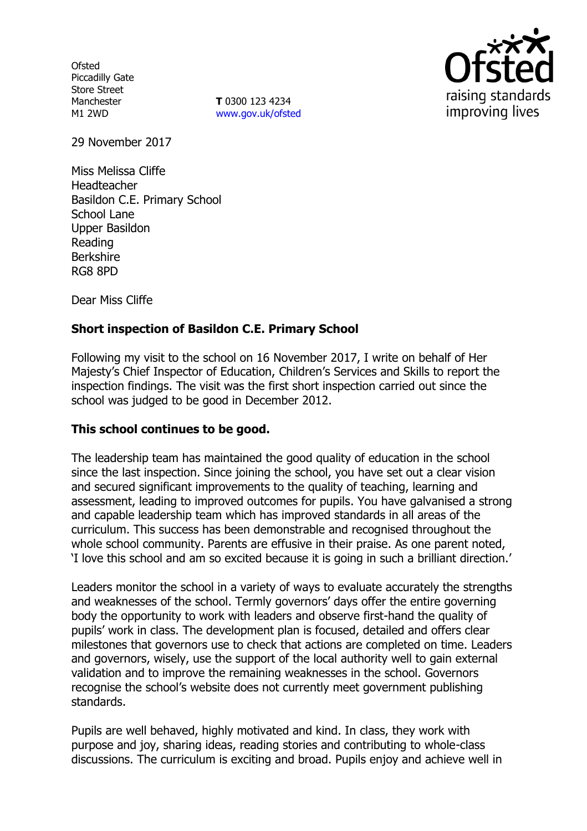**Ofsted** Piccadilly Gate Store Street Manchester M1 2WD

**T** 0300 123 4234 www.gov.uk/ofsted



29 November 2017

Miss Melissa Cliffe Headteacher Basildon C.E. Primary School School Lane Upper Basildon Reading Berkshire RG8 8PD

Dear Miss Cliffe

## **Short inspection of Basildon C.E. Primary School**

Following my visit to the school on 16 November 2017, I write on behalf of Her Majesty's Chief Inspector of Education, Children's Services and Skills to report the inspection findings. The visit was the first short inspection carried out since the school was judged to be good in December 2012.

#### **This school continues to be good.**

The leadership team has maintained the good quality of education in the school since the last inspection. Since joining the school, you have set out a clear vision and secured significant improvements to the quality of teaching, learning and assessment, leading to improved outcomes for pupils. You have galvanised a strong and capable leadership team which has improved standards in all areas of the curriculum. This success has been demonstrable and recognised throughout the whole school community. Parents are effusive in their praise. As one parent noted, 'I love this school and am so excited because it is going in such a brilliant direction.'

Leaders monitor the school in a variety of ways to evaluate accurately the strengths and weaknesses of the school. Termly governors' days offer the entire governing body the opportunity to work with leaders and observe first-hand the quality of pupils' work in class. The development plan is focused, detailed and offers clear milestones that governors use to check that actions are completed on time. Leaders and governors, wisely, use the support of the local authority well to gain external validation and to improve the remaining weaknesses in the school. Governors recognise the school's website does not currently meet government publishing standards.

Pupils are well behaved, highly motivated and kind. In class, they work with purpose and joy, sharing ideas, reading stories and contributing to whole-class discussions. The curriculum is exciting and broad. Pupils enjoy and achieve well in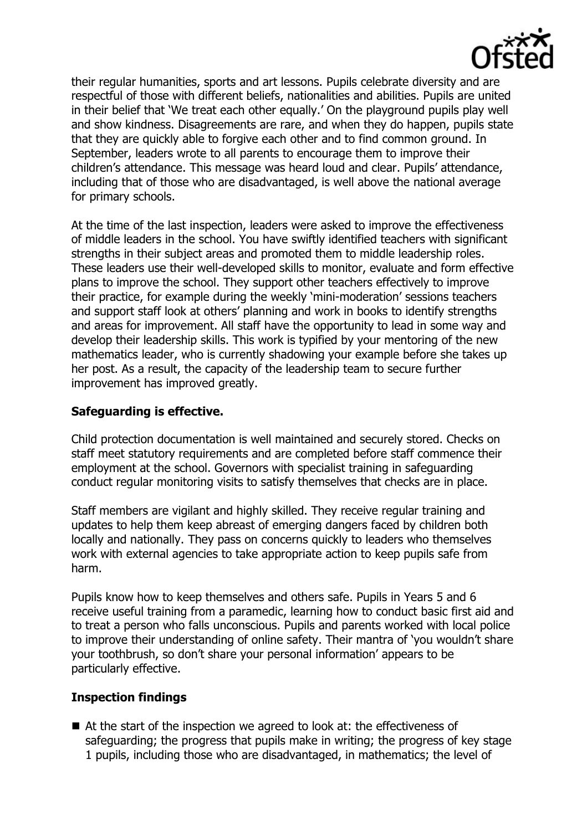

their regular humanities, sports and art lessons. Pupils celebrate diversity and are respectful of those with different beliefs, nationalities and abilities. Pupils are united in their belief that 'We treat each other equally.' On the playground pupils play well and show kindness. Disagreements are rare, and when they do happen, pupils state that they are quickly able to forgive each other and to find common ground. In September, leaders wrote to all parents to encourage them to improve their children's attendance. This message was heard loud and clear. Pupils' attendance, including that of those who are disadvantaged, is well above the national average for primary schools.

At the time of the last inspection, leaders were asked to improve the effectiveness of middle leaders in the school. You have swiftly identified teachers with significant strengths in their subject areas and promoted them to middle leadership roles. These leaders use their well-developed skills to monitor, evaluate and form effective plans to improve the school. They support other teachers effectively to improve their practice, for example during the weekly 'mini-moderation' sessions teachers and support staff look at others' planning and work in books to identify strengths and areas for improvement. All staff have the opportunity to lead in some way and develop their leadership skills. This work is typified by your mentoring of the new mathematics leader, who is currently shadowing your example before she takes up her post. As a result, the capacity of the leadership team to secure further improvement has improved greatly.

### **Safeguarding is effective.**

Child protection documentation is well maintained and securely stored. Checks on staff meet statutory requirements and are completed before staff commence their employment at the school. Governors with specialist training in safeguarding conduct regular monitoring visits to satisfy themselves that checks are in place.

Staff members are vigilant and highly skilled. They receive regular training and updates to help them keep abreast of emerging dangers faced by children both locally and nationally. They pass on concerns quickly to leaders who themselves work with external agencies to take appropriate action to keep pupils safe from harm.

Pupils know how to keep themselves and others safe. Pupils in Years 5 and 6 receive useful training from a paramedic, learning how to conduct basic first aid and to treat a person who falls unconscious. Pupils and parents worked with local police to improve their understanding of online safety. Their mantra of 'you wouldn't share your toothbrush, so don't share your personal information' appears to be particularly effective.

#### **Inspection findings**

■ At the start of the inspection we agreed to look at: the effectiveness of safeguarding; the progress that pupils make in writing; the progress of key stage 1 pupils, including those who are disadvantaged, in mathematics; the level of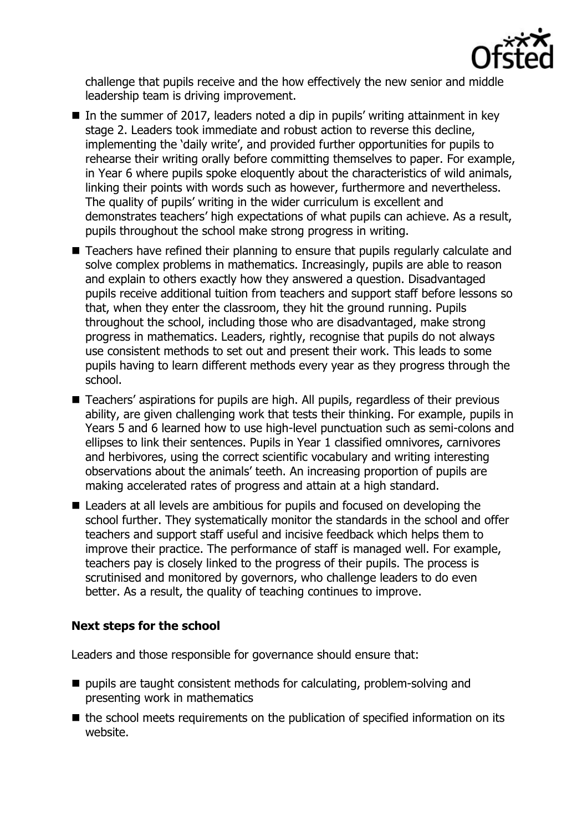

challenge that pupils receive and the how effectively the new senior and middle leadership team is driving improvement.

- In the summer of 2017, leaders noted a dip in pupils' writing attainment in key stage 2. Leaders took immediate and robust action to reverse this decline, implementing the 'daily write', and provided further opportunities for pupils to rehearse their writing orally before committing themselves to paper. For example, in Year 6 where pupils spoke eloquently about the characteristics of wild animals, linking their points with words such as however, furthermore and nevertheless. The quality of pupils' writing in the wider curriculum is excellent and demonstrates teachers' high expectations of what pupils can achieve. As a result, pupils throughout the school make strong progress in writing.
- Teachers have refined their planning to ensure that pupils regularly calculate and solve complex problems in mathematics. Increasingly, pupils are able to reason and explain to others exactly how they answered a question. Disadvantaged pupils receive additional tuition from teachers and support staff before lessons so that, when they enter the classroom, they hit the ground running. Pupils throughout the school, including those who are disadvantaged, make strong progress in mathematics. Leaders, rightly, recognise that pupils do not always use consistent methods to set out and present their work. This leads to some pupils having to learn different methods every year as they progress through the school.
- Teachers' aspirations for pupils are high. All pupils, regardless of their previous ability, are given challenging work that tests their thinking. For example, pupils in Years 5 and 6 learned how to use high-level punctuation such as semi-colons and ellipses to link their sentences. Pupils in Year 1 classified omnivores, carnivores and herbivores, using the correct scientific vocabulary and writing interesting observations about the animals' teeth. An increasing proportion of pupils are making accelerated rates of progress and attain at a high standard.
- Leaders at all levels are ambitious for pupils and focused on developing the school further. They systematically monitor the standards in the school and offer teachers and support staff useful and incisive feedback which helps them to improve their practice. The performance of staff is managed well. For example, teachers pay is closely linked to the progress of their pupils. The process is scrutinised and monitored by governors, who challenge leaders to do even better. As a result, the quality of teaching continues to improve.

# **Next steps for the school**

Leaders and those responsible for governance should ensure that:

- pupils are taught consistent methods for calculating, problem-solving and presenting work in mathematics
- $\blacksquare$  the school meets requirements on the publication of specified information on its website.